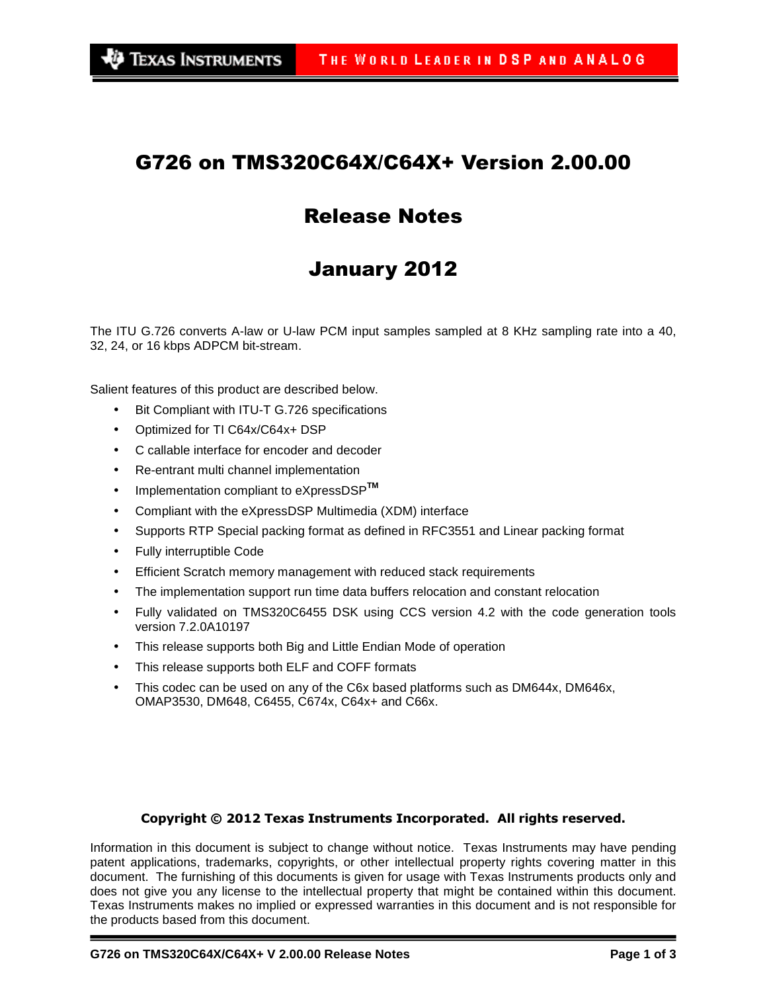### G726 on TMS320C64X/C64X+ Version 2.00.00

## Release Notes

# January 2012

The ITU G.726 converts A-law or U-law PCM input samples sampled at 8 KHz sampling rate into a 40, 32, 24, or 16 kbps ADPCM bit-stream.

Salient features of this product are described below.

- Bit Compliant with ITU-T G.726 specifications
- Optimized for TI C64x/C64x+ DSP
- C callable interface for encoder and decoder
- Re-entrant multi channel implementation
- Implementation compliant to eXpressDSP**TM**
- Compliant with the eXpressDSP Multimedia (XDM) interface
- Supports RTP Special packing format as defined in RFC3551 and Linear packing format
- Fully interruptible Code
- Efficient Scratch memory management with reduced stack requirements
- The implementation support run time data buffers relocation and constant relocation
- Fully validated on TMS320C6455 DSK using CCS version 4.2 with the code generation tools version 7.2.0A10197
- This release supports both Big and Little Endian Mode of operation
- This release supports both ELF and COFF formats
- This codec can be used on any of the C6x based platforms such as DM644x, DM646x, OMAP3530, DM648, C6455, C674x, C64x+ and C66x.

#### Copyright © 2012 Texas Instruments Incorporated. All rights reserved.

Information in this document is subject to change without notice. Texas Instruments may have pending patent applications, trademarks, copyrights, or other intellectual property rights covering matter in this document. The furnishing of this documents is given for usage with Texas Instruments products only and does not give you any license to the intellectual property that might be contained within this document. Texas Instruments makes no implied or expressed warranties in this document and is not responsible for the products based from this document.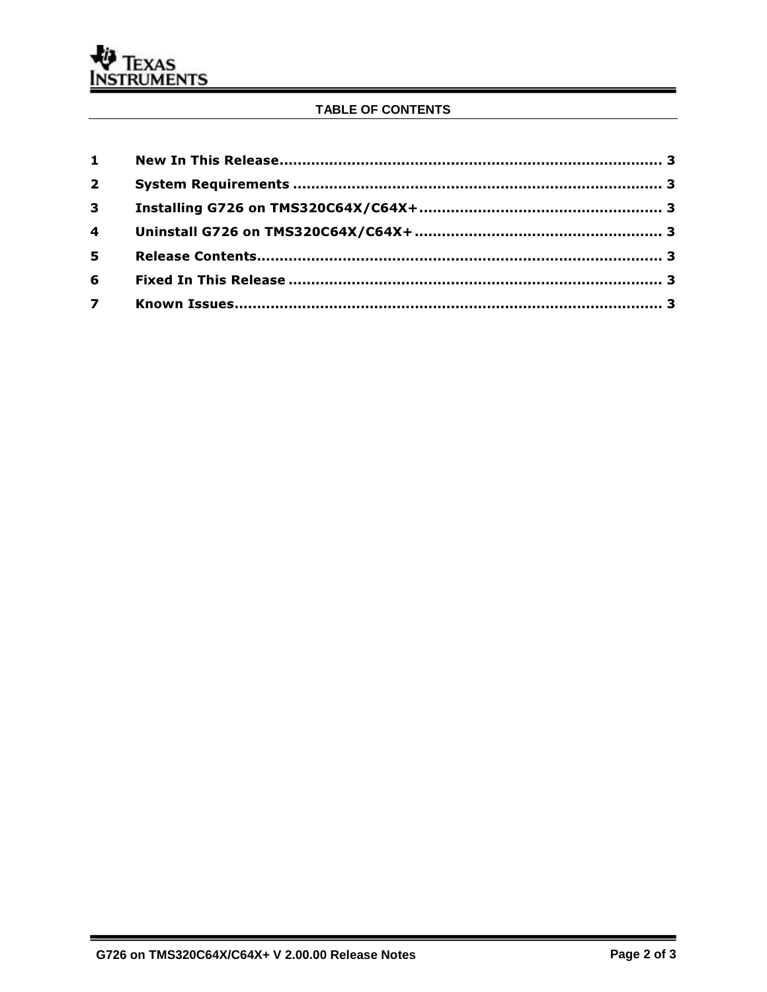### TABLE OF CONTENTS

| $2^{\circ}$ |  |
|-------------|--|
| $3^{\circ}$ |  |
|             |  |
| 5           |  |
| 6           |  |
|             |  |